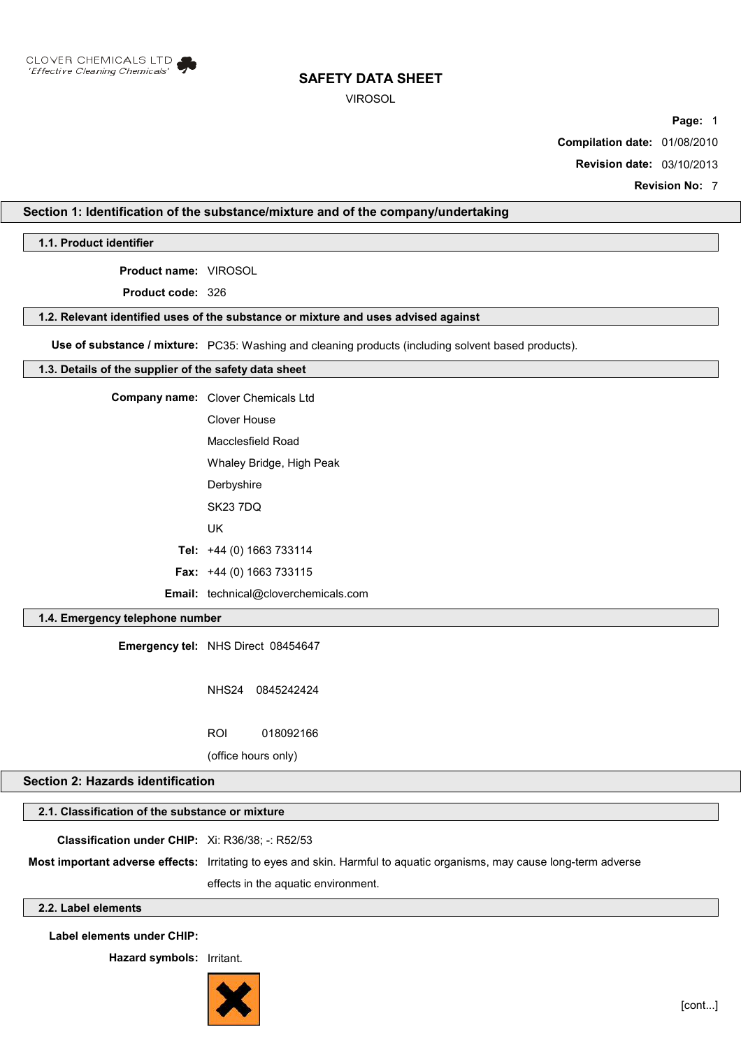

VIROSOL

**Page:** 1

**Compilation date:** 01/08/2010

**Revision date:** 03/10/2013

**Revision No:** 7

### **Section 1: Identification of the substance/mixture and of the company/undertaking**

**1.1. Product identifier**

**Product name:** VIROSOL

**Product code:** 326

#### **1.2. Relevant identified uses of the substance or mixture and uses advised against**

**Use of substance / mixture:** PC35: Washing and cleaning products (including solvent based products).

#### **1.3. Details of the supplier of the safety data sheet**

| <b>Company name:</b> Clover Chemicals Ltd   |
|---------------------------------------------|
| Clover House                                |
| Macclesfield Road                           |
| Whaley Bridge, High Peak                    |
| Derbyshire                                  |
| <b>SK23 7DQ</b>                             |
| UK                                          |
| Tel: $+44$ (0) 1663 733114                  |
| <b>Fax:</b> $+44$ (0) 1663 733115           |
| <b>Email:</b> technical@cloverchemicals.com |

#### **1.4. Emergency telephone number**

**Emergency tel:** NHS Direct 08454647

NHS24 0845242424 ROI 018092166

(office hours only)

## **Section 2: Hazards identification**

## **2.1. Classification of the substance or mixture**

**Classification under CHIP:** Xi: R36/38; -: R52/53

**Most important adverse effects:** Irritating to eyes and skin. Harmful to aquatic organisms, may cause long-term adverse effects in the aquatic environment.

## **2.2. Label elements**

**Label elements under CHIP:**

**Hazard symbols:** Irritant.

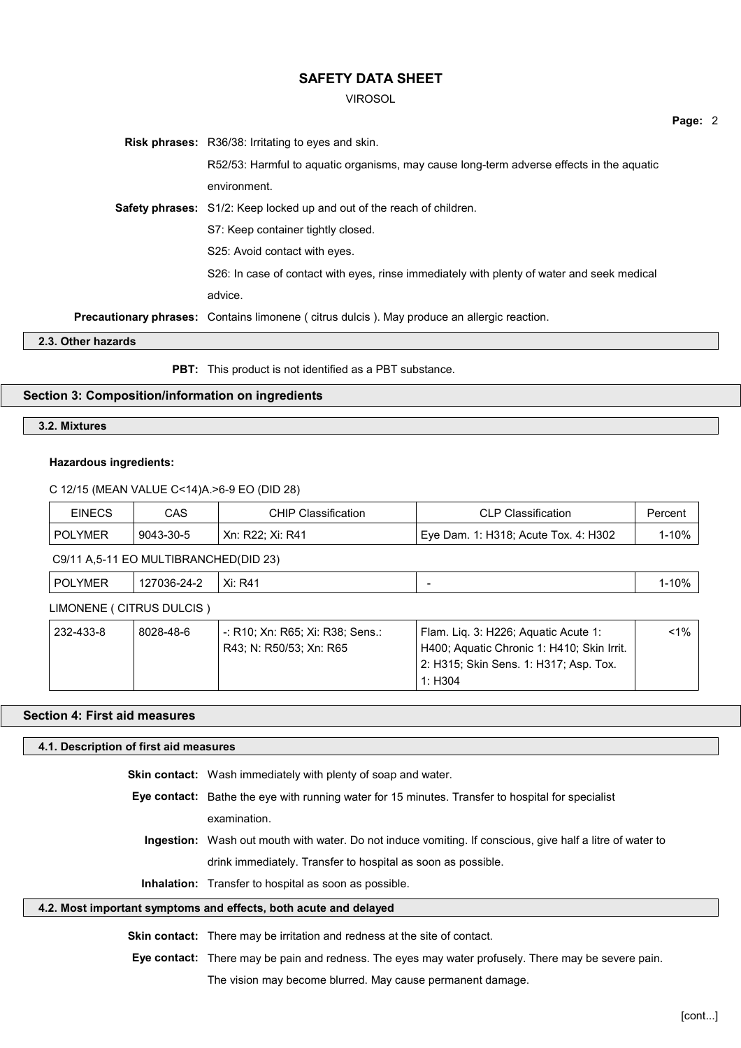VIROSOL

|  |                                                                                             | Page: 2 |  |
|--|---------------------------------------------------------------------------------------------|---------|--|
|  | <b>Risk phrases:</b> R36/38: Irritating to eyes and skin.                                   |         |  |
|  | R52/53: Harmful to aguatic organisms, may cause long-term adverse effects in the aguatic    |         |  |
|  | environment.                                                                                |         |  |
|  | <b>Safety phrases:</b> S1/2: Keep locked up and out of the reach of children.               |         |  |
|  | S7: Keep container tightly closed.                                                          |         |  |
|  | S25: Avoid contact with eyes.                                                               |         |  |
|  | S26: In case of contact with eyes, rinse immediately with plenty of water and seek medical  |         |  |
|  | advice.                                                                                     |         |  |
|  | Precautionary phrases: Contains limonene (citrus dulcis). May produce an allergic reaction. |         |  |
|  |                                                                                             |         |  |

**2.3. Other hazards**

**PBT:** This product is not identified as a PBT substance.

#### **Section 3: Composition/information on ingredients**

#### **3.2. Mixtures**

#### **Hazardous ingredients:**

#### C 12/15 (MEAN VALUE C<14)A.>6-9 EO (DID 28)

| <b>EINECS</b>                         | CAS       | <b>CHIP Classification</b> | <b>CLP Classification</b>            | Percent |
|---------------------------------------|-----------|----------------------------|--------------------------------------|---------|
| POLYMER                               | 9043-30-5 | ' Xn: R22: Xi: R41         | Eye Dam. 1: H318; Acute Tox. 4: H302 | 1-10%   |
| C9/11 A,5-11 EO MULTIBRANCHED(DID 23) |           |                            |                                      |         |

| 100/<br>$\ddot{\phantom{0}}$<br>-<br>or<br>$\mathbf{v}$<br>$\overline{\phantom{a}}$<br>'24.<br>YMFR<br>R4<br>AI.<br>$\sim$ |
|----------------------------------------------------------------------------------------------------------------------------|
|----------------------------------------------------------------------------------------------------------------------------|

## LIMONENE ( CITRUS DULCIS )

| 232-433-8 | 8028-48-6 | ' -: R10; Xn: R65; Xi: R38; Sens.: | Flam. Lig. 3: H226; Aguatic Acute 1:       | <1% |
|-----------|-----------|------------------------------------|--------------------------------------------|-----|
|           |           | R43: N: R50/53: Xn: R65            | H400; Aquatic Chronic 1: H410; Skin Irrit. |     |
|           |           |                                    | 2: H315; Skin Sens. 1: H317; Asp. Tox.     |     |
|           |           |                                    | 1: H304                                    |     |

## **Section 4: First aid measures**

### **4.1. Description of first aid measures**

| <b>Skin contact:</b> Wash immediately with plenty of soap and water.                                      |
|-----------------------------------------------------------------------------------------------------------|
| <b>Eye contact:</b> Bathe the eye with running water for 15 minutes. Transfer to hospital for specialist  |
| examination.                                                                                              |
| Ingestion: Wash out mouth with water. Do not induce vomiting. If conscious, give half a litre of water to |
| drink immediately. Transfer to hospital as soon as possible.                                              |

**Inhalation:** Transfer to hospital as soon as possible.

#### **4.2. Most important symptoms and effects, both acute and delayed**

**Skin contact:** There may be irritation and redness at the site of contact.

**Eye contact:** There may be pain and redness. The eyes may water profusely. There may be severe pain. The vision may become blurred. May cause permanent damage.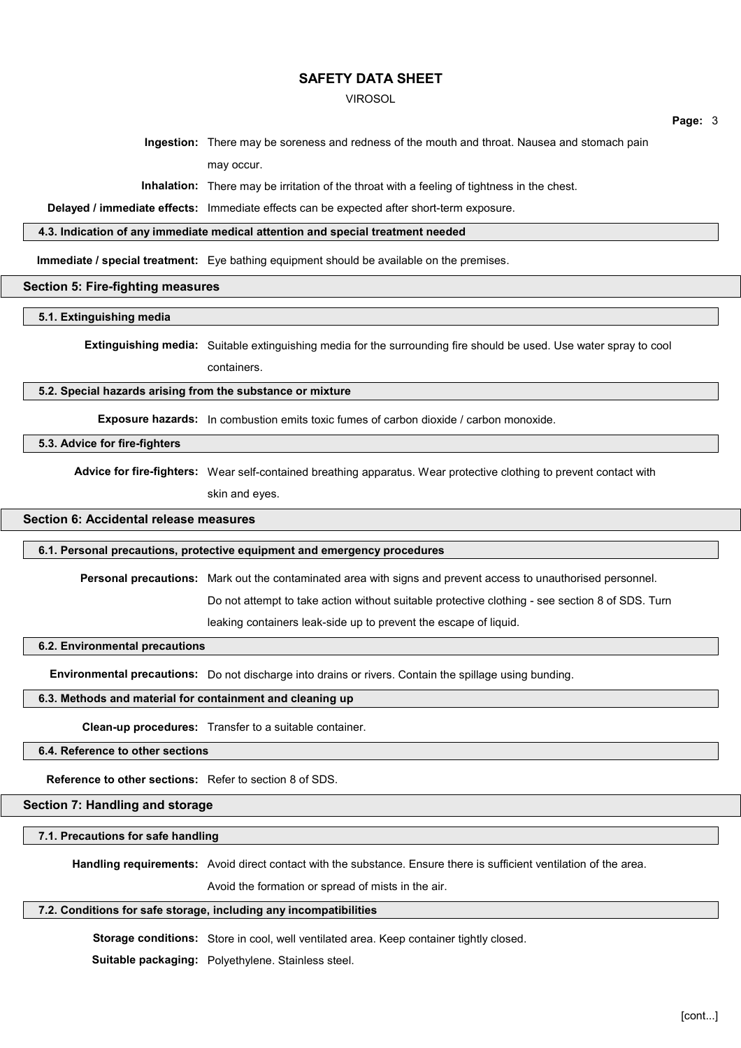#### VIROSOL

**Page:** 3

**Ingestion:** There may be soreness and redness of the mouth and throat. Nausea and stomach pain may occur.

**Inhalation:** There may be irritation of the throat with a feeling of tightness in the chest.

**Delayed / immediate effects:** Immediate effects can be expected after short-term exposure.

#### **4.3. Indication of any immediate medical attention and special treatment needed**

**Immediate / special treatment:** Eye bathing equipment should be available on the premises.

#### **Section 5: Fire-fighting measures**

**5.1. Extinguishing media**

**Extinguishing media:** Suitable extinguishing media for the surrounding fire should be used. Use water spray to cool

containers.

#### **5.2. Special hazards arising from the substance or mixture**

**Exposure hazards:** In combustion emits toxic fumes of carbon dioxide / carbon monoxide.

#### **5.3. Advice for fire-fighters**

**Advice for fire-fighters:** Wear self-contained breathing apparatus. Wear protective clothing to prevent contact with skin and eyes.

**Section 6: Accidental release measures**

#### **6.1. Personal precautions, protective equipment and emergency procedures**

**Personal precautions:** Mark out the contaminated area with signs and prevent access to unauthorised personnel.

Do not attempt to take action without suitable protective clothing - see section 8 of SDS. Turn

leaking containers leak-side up to prevent the escape of liquid.

#### **6.2. Environmental precautions**

**Environmental precautions:** Do not discharge into drains or rivers. Contain the spillage using bunding.

#### **6.3. Methods and material for containment and cleaning up**

**Clean-up procedures:** Transfer to a suitable container.

**6.4. Reference to other sections**

**Reference to other sections:** Refer to section 8 of SDS.

#### **Section 7: Handling and storage**

#### **7.1. Precautions for safe handling**

**Handling requirements:** Avoid direct contact with the substance. Ensure there is sufficient ventilation of the area.

Avoid the formation or spread of mists in the air.

#### **7.2. Conditions for safe storage, including any incompatibilities**

**Storage conditions:** Store in cool, well ventilated area. Keep container tightly closed.

**Suitable packaging:** Polyethylene. Stainless steel.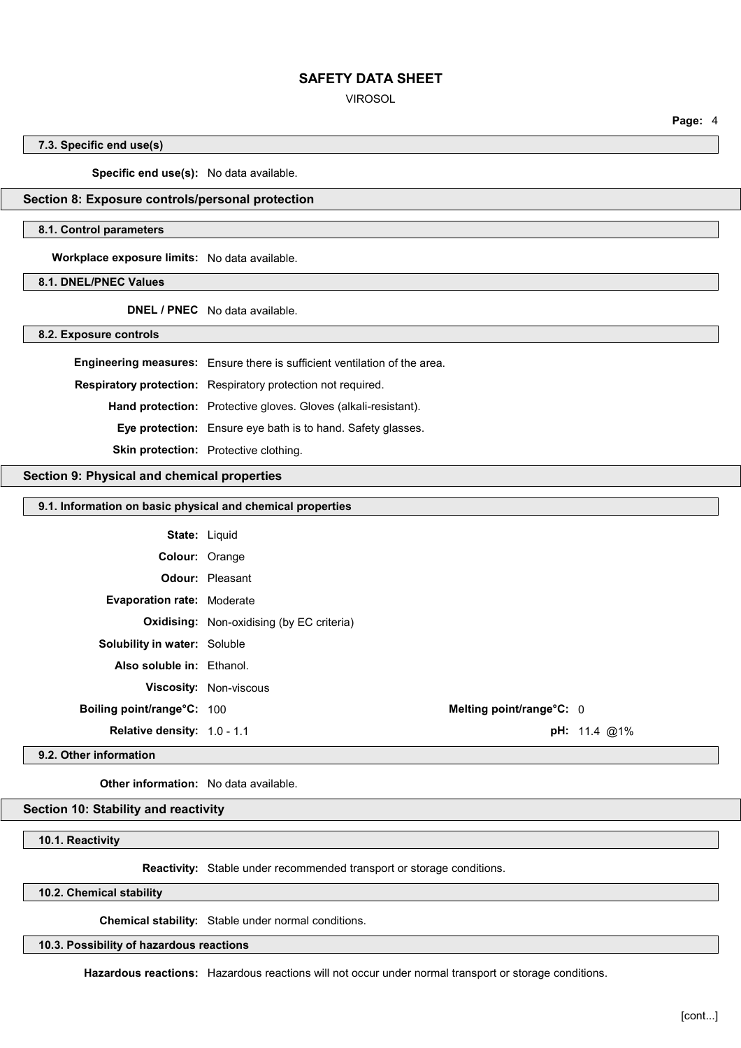VIROSOL

**Page:** 4

#### **7.3. Specific end use(s)**

**Specific end use(s):** No data available.

#### **Section 8: Exposure controls/personal protection**

#### **8.1. Control parameters**

**Workplace exposure limits:** No data available.

#### **8.1. DNEL/PNEC Values**

**DNEL / PNEC** No data available.

**8.2. Exposure controls**

**Engineering measures:** Ensure there is sufficient ventilation of the area.

**Respiratory protection:** Respiratory protection not required.

**Hand protection:** Protective gloves. Gloves (alkali-resistant).

**Eye protection:** Ensure eye bath is to hand. Safety glasses.

**Skin protection:** Protective clothing.

#### **Section 9: Physical and chemical properties**

#### **9.1. Information on basic physical and chemical properties**

| <b>State: Liquid</b>                |                                                  |                          |                        |
|-------------------------------------|--------------------------------------------------|--------------------------|------------------------|
| <b>Colour: Orange</b>               |                                                  |                          |                        |
|                                     | <b>Odour:</b> Pleasant                           |                          |                        |
| <b>Evaporation rate: Moderate</b>   |                                                  |                          |                        |
|                                     | <b>Oxidising:</b> Non-oxidising (by EC criteria) |                          |                        |
| <b>Solubility in water: Soluble</b> |                                                  |                          |                        |
| Also soluble in: Fthanol.           |                                                  |                          |                        |
|                                     | <b>Viscosity: Non-viscous</b>                    |                          |                        |
| Boiling point/range°C: 100          |                                                  | Melting point/range°C: 0 |                        |
| <b>Relative density: 1.0 - 1.1</b>  |                                                  |                          | <b>pH:</b> 11.4 $@1\%$ |
|                                     |                                                  |                          |                        |

**9.2. Other information**

**Other information:** No data available.

#### **Section 10: Stability and reactivity**

**10.1. Reactivity**

**Reactivity:** Stable under recommended transport or storage conditions.

**10.2. Chemical stability**

**Chemical stability:** Stable under normal conditions.

**10.3. Possibility of hazardous reactions**

**Hazardous reactions:** Hazardous reactions will not occur under normal transport or storage conditions.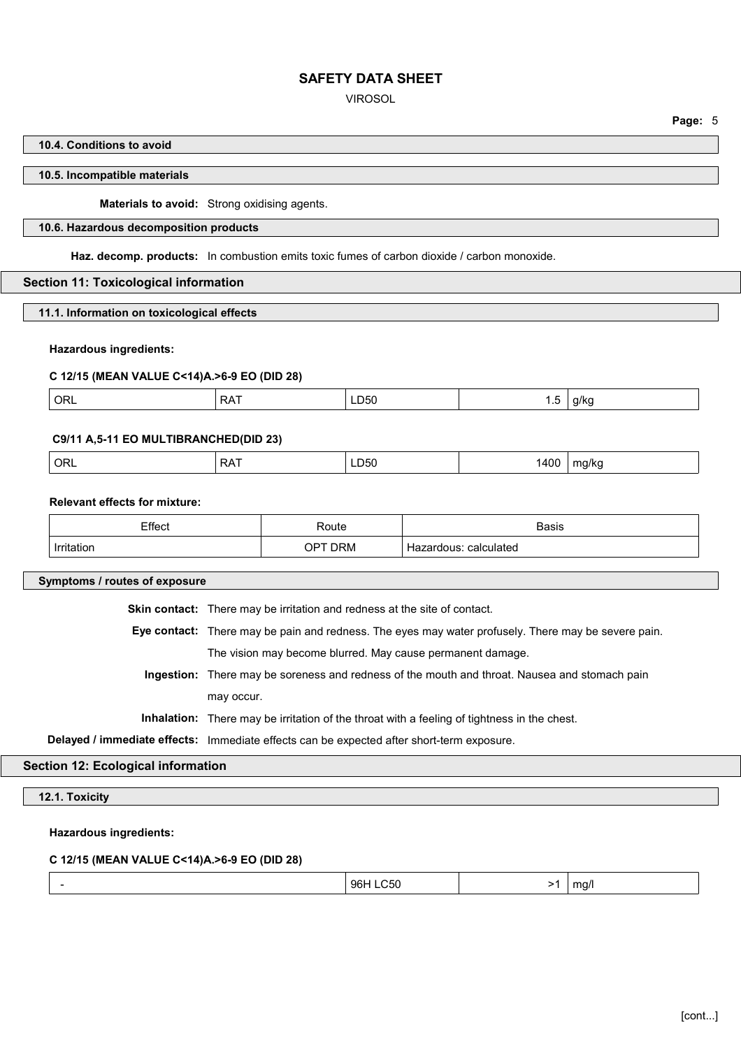VIROSOL

**Page:** 5

#### **10.4. Conditions to avoid**

#### **10.5. Incompatible materials**

**Materials to avoid:** Strong oxidising agents.

#### **10.6. Hazardous decomposition products**

**Haz. decomp. products:** In combustion emits toxic fumes of carbon dioxide / carbon monoxide.

#### **Section 11: Toxicological information**

**11.1. Information on toxicological effects**

#### **Hazardous ingredients:**

#### **C 12/15 (MEAN VALUE C<14)A.>6-9 EO (DID 28)**

| ORL<br><b>RAT</b><br>LD50<br>a/kc<br>$\cdot$<br>. . |
|-----------------------------------------------------|
|-----------------------------------------------------|

#### **C9/11 A,5-11 EO MULTIBRANCHED(DID 23)**

| ΩF<br>. .<br>- 750<br>חי.<br>ິ<br>$ -$<br>$ -$<br>$\cdot$ $\cdot$<br>. . |  |
|--------------------------------------------------------------------------|--|
|--------------------------------------------------------------------------|--|

#### **Relevant effects for mixture:**

| Effect            | ⊀oute                     | <b>Basis</b>                  |
|-------------------|---------------------------|-------------------------------|
| <b>Irritation</b> | <b>DRM</b><br>$\Omega$ PT | calculated<br>rdous<br>azai i |

**Symptoms / routes of exposure**

**Skin contact:** There may be irritation and redness at the site of contact.

**Eye contact:** There may be pain and redness. The eyes may water profusely. There may be severe pain. The vision may become blurred. May cause permanent damage.

**Ingestion:** There may be soreness and redness of the mouth and throat. Nausea and stomach pain may occur.

**Inhalation:** There may be irritation of the throat with a feeling of tightness in the chest.

**Delayed / immediate effects:** Immediate effects can be expected after short-term exposure.

#### **Section 12: Ecological information**

**12.1. Toxicity**

**Hazardous ingredients:**

#### **C 12/15 (MEAN VALUE C<14)A.>6-9 EO (DID 28)**

| 96H LC50 | ma/l<br>>1 |  |
|----------|------------|--|
|----------|------------|--|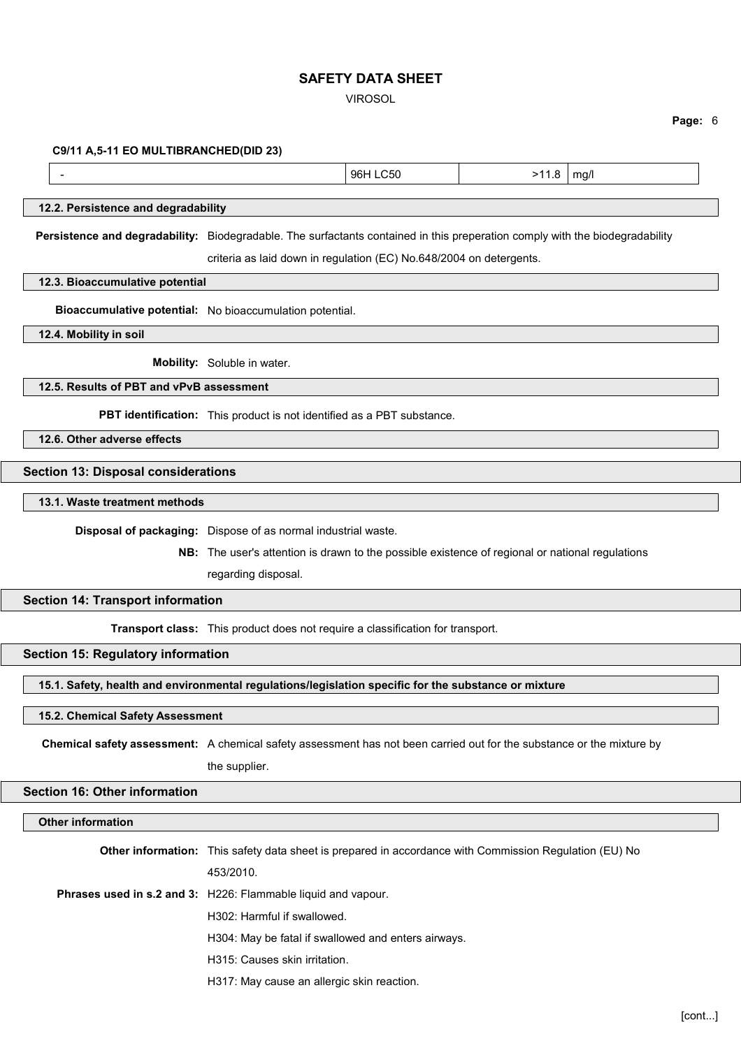VIROSOL

**Page:** 6

 **C9/11 A,5-11 EO MULTIBRANCHED(DID 23)**

- 11.8 mg/l = 12.9 mg/l = 12.9 mg/l = 12.9 mg/l = 12.9 mg/l = 12.9 mg/l = 12.9 mg/l

# **12.2. Persistence and degradability**

**Persistence and degradability:** Biodegradable. The surfactants contained in this preperation comply with the biodegradability criteria as laid down in regulation (EC) No.648/2004 on detergents.

**12.3. Bioaccumulative potential**

**Bioaccumulative potential:** No bioaccumulation potential.

**12.4. Mobility in soil**

**Mobility:** Soluble in water.

## **12.5. Results of PBT and vPvB assessment**

**PBT identification:** This product is not identified as a PBT substance.

**12.6. Other adverse effects**

#### **Section 13: Disposal considerations**

**13.1. Waste treatment methods**

**Disposal of packaging:** Dispose of as normal industrial waste.

**NB:** The user's attention is drawn to the possible existence of regional or national regulations

regarding disposal.

#### **Section 14: Transport information**

**Transport class:** This product does not require a classification for transport.

## **Section 15: Regulatory information**

**15.1. Safety, health and environmental regulations/legislation specific for the substance or mixture**

#### **15.2. Chemical Safety Assessment**

**Chemical safety assessment:** A chemical safety assessment has not been carried out for the substance or the mixture by the supplier.

## **Section 16: Other information**

## **Other information**

**Other information:** This safety data sheet is prepared in accordance with Commission Regulation (EU) No 453/2010. **Phrases used in s.2 and 3:** H226: Flammable liquid and vapour. H302: Harmful if swallowed. H304: May be fatal if swallowed and enters airways. H315: Causes skin irritation. H317: May cause an allergic skin reaction.